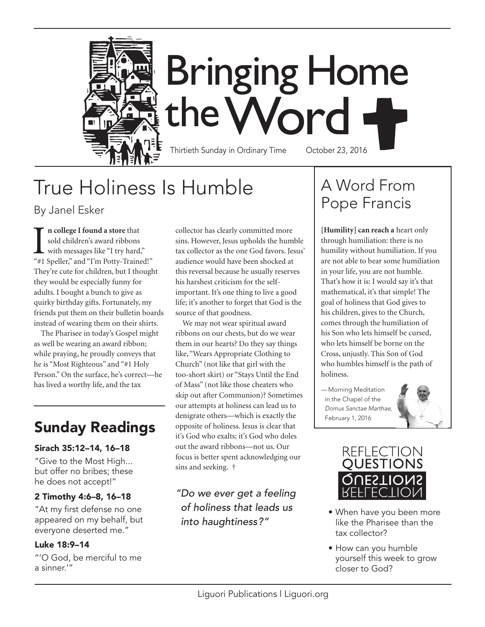

# **Bringing Home** the Word

Thirtieth Sunday in Ordinary Time October 23, 2016

# True Holiness Is Humble

#### By Janel Esker

In college I found a store that<br>sold children's award ribbons<br>with messages like "I try hard,"<br>"#1 Speller," and "I'm Potty-Trained!" **n college I found a store** that sold children's award ribbons with messages like "I try hard," They're cute for children, but I thought they would be especially funny for adults. I bought a bunch to give as quirky birthday gifts. Fortunately, my friends put them on their bulletin boards instead of wearing them on their shirts.

The Pharisee in today's Gospel might as well be wearing an award ribbon; while praying, he proudly conveys that he is "Most Righteous" and "#1 Holy Person." On the surface, he's correct—he has lived a worthy life, and the tax

### Sunday Readings

#### Sirach 35:12–14, 16–18

"Give to the Most High... but offer no bribes; these he does not accept!"

#### 2 Timothy 4:6–8, 16–18

"At my first defense no one appeared on my behalf, but everyone deserted me."

#### Luke 18:9–14

"'O God, be merciful to me a sinner.'"

collector has clearly committed more sins. However, Jesus upholds the humble tax collector as the one God favors. Jesus' audience would have been shocked at this reversal because he usually reserves his harshest criticism for the selfimportant. It's one thing to live a good life; it's another to forget that God is the source of that goodness.

We may not wear spiritual award ribbons on our chests, but do we wear them in our hearts? Do they say things like, "Wears Appropriate Clothing to Church" (not like that girl with the too-short skirt) or "Stays Until the End of Mass" (not like those cheaters who skip out after Communion)? Sometimes our attempts at holiness can lead us to denigrate others—which is exactly the opposite of holiness. Jesus is clear that it's God who exalts; it's God who doles out the award ribbons—not us. Our focus is better spent acknowledging our sins and seeking. †

#### *"Do we ever get a feeling of holiness that leads us into haughtiness?"*

### A Word From Pope Francis

**[Humility] can reach a** heart only through humiliation: there is no humility without humiliation. If you are not able to bear some humiliation in your life, you are not humble. That's how it is: I would say it's that mathematical, it's that simple! The goal of holiness that God gives to his children, gives to the Church, comes through the humiliation of his Son who lets himself be cursed, who lets himself be borne on the Cross, unjustly. This Son of God who humbles himself is the path of holiness.

*—*Morning Meditation in the Chapel of the *Domus Sanctae Marthae,* February 1, 2016





- When have you been more like the Pharisee than the tax collector?
- How can you humble yourself this week to grow closer to God?